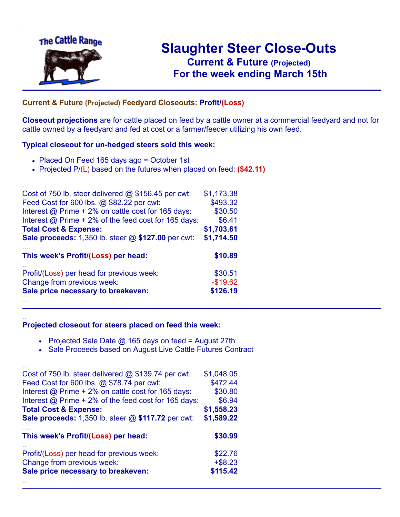

.

..

## **Slaughter Steer Close-Outs Current & Future (Projected)** .**For the week ending March 15th**

## ... **Current & Future (Projected) Feedyard Closeouts: Profit/(Loss)**

**Closeout projections** are for cattle placed on feed by a cattle owner at a commercial feedyard and not for cattle owned by a feedyard and fed at cost or a farmer/feeder utilizing his own feed.

#### **Typical closeout for un-hedged steers sold this week:**

- Placed On Feed 165 days ago = October 1st
- Projected P/(L) based on the futures when placed on feed: **(\$42.11)**

| Cost of 750 lb. steer delivered $@$ \$156.45 per cwt:     | \$1,173.38 |
|-----------------------------------------------------------|------------|
| Feed Cost for 600 lbs. @ \$82.22 per cwt:                 | \$493.32   |
| Interest @ Prime + 2% on cattle cost for 165 days:        | \$30.50    |
| Interest @ Prime + 2% of the feed cost for 165 days:      | \$6.41     |
| <b>Total Cost &amp; Expense:</b>                          | \$1,703.61 |
| <b>Sale proceeds:</b> 1,350 lb. steer @ \$127.00 per cwt: | \$1,714.50 |
| This week's Profit/(Loss) per head:                       | \$10.89    |
| Profit/(Loss) per head for previous week:                 | \$30.51    |
| Change from previous week:                                | $-$19.62$  |
| Sale price necessary to breakeven:                        | \$126.19   |
|                                                           |            |

#### **Projected closeout for steers placed on feed this week:**

- Projected Sale Date @ 165 days on feed = August 27th
- Sale Proceeds based on August Live Cattle Futures Contract

| Cost of 750 lb. steer delivered $@$ \$139.74 per cwt:       | \$1,048.05 |
|-------------------------------------------------------------|------------|
| Feed Cost for 600 lbs. @ \$78.74 per cwt:                   | \$472.44   |
| Interest @ Prime + 2% on cattle cost for 165 days:          | \$30.80    |
| Interest $\omega$ Prime + 2% of the feed cost for 165 days: | \$6.94     |
| <b>Total Cost &amp; Expense:</b>                            | \$1,558.23 |
| <b>Sale proceeds:</b> 1,350 lb. steer @ \$117.72 per cwt:   | \$1,589.22 |
|                                                             |            |
| This week's Profit/(Loss) per head:                         | \$30.99    |
| Profit/(Loss) per head for previous week:                   | \$22.76    |
| Change from previous week:                                  | $+$ \$8.23 |
| Sale price necessary to breakeven:                          | \$115.42   |